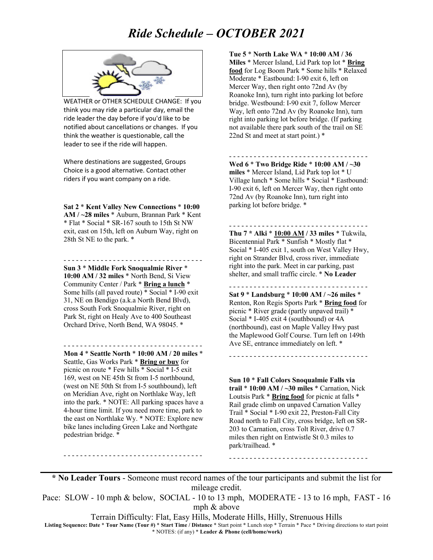## *Ride Schedule – OCTOBER 2021*



WEATHER or OTHER SCHEDULE CHANGE: If you think you may ride a particular day, email the ride leader the day before if you'd like to be notified about cancellations or changes. If you think the weather is questionable, call the leader to see if the ride will happen.

Where destinations are suggested, Groups Choice is a good alternative. Contact other riders if you want company on a ride.

**Sat 2** \* **Kent Valley New Connections** \* **10:00 AM / ~28 miles** \* Auburn, Brannan Park \* Kent \* Flat \* Social \* SR-167 south to 15th St NW exit, east on 15th, left on Auburn Way, right on 28th St NE to the park. \*

- - - - - - - - - - - - - - - - - - - - - - - - - - - - - - - - - -

**Sun 3** \* **Middle Fork Snoqualmie River** \* **10:00 AM / 32 miles** \* North Bend, Si View Community Center / Park \* **Bring a lunch** \* Some hills (all paved route) \* Social \* I-90 exit 31, NE on Bendigo (a.k.a North Bend Blvd), cross South Fork Snoqualmie River, right on Park St, right on Healy Ave to 400 Southeast Orchard Drive, North Bend, WA 98045. \*

- - - - - - - - - - - - - - - - - - - - - - - - - - - - - - - - - -

**Mon 4** \* **Seattle North** \* **10:00 AM / 20 miles** \* Seattle, Gas Works Park \* **Bring or buy** for picnic on route \* Few hills \* Social \* I-5 exit 169, west on NE 45th St from I-5 northbound, (west on NE 50th St from I-5 southbound), left on Meridian Ave, right on Northlake Way, left into the park. \* NOTE: All parking spaces have a 4-hour time limit. If you need more time, park to the east on Northlake Wy. \* NOTE: Explore new bike lanes including Green Lake and Northgate pedestrian bridge. \*

- - - - - - - - - - - - - - - - - - - - - - - - - - - - - - - - - -

**Tue 5** \* **North Lake WA** \* **10:00 AM / 36 Miles** \* Mercer Island, Lid Park top lot \* **Bring food** for Log Boom Park \* Some hills \* Relaxed Moderate \* Eastbound: I-90 exit 6, left on Mercer Way, then right onto 72nd Av (by Roanoke Inn), turn right into parking lot before bridge. Westbound: I-90 exit 7, follow Mercer Way, left onto 72nd Av (by Roanoke Inn), turn right into parking lot before bridge. (If parking not available there park south of the trail on SE 22nd St and meet at start point.) \*

**Wed 6** \* **Two Bridge Ride** \* **10:00 AM / ~30 miles** \* Mercer Island, Lid Park top lot \* U Village lunch \* Some hills \* Social \* Eastbound: I-90 exit 6, left on Mercer Way, then right onto 72nd Av (by Roanoke Inn), turn right into parking lot before bridge. \*

- - - - - - - - - - - - - - - - - - - - - - - - - - - - - - - - - -

- - - - - - - - - - - - - - - - - - - - - - - - - - - - - - - - - - **Thu 7 \* Alki** \* **10:00 AM / 33 miles** \* Tukwila, Bicentennial Park \* Sunfish \* Mostly flat \* Social \* I-405 exit 1, south on West Valley Hwy, right on Strander Blvd, cross river, immediate right into the park. Meet in car parking, past shelter, and small traffic circle. \* **No Leader**

- - - - - - - - - - - - - - - - - - - - - - - - - - - - - - - - - - **Sat 9** \* **Landsburg** \* **10:00 AM / ~26 miles** \* Renton, Ron Regis Sports Park \* **Bring food** for picnic \* River grade (partly unpaved trail) \* Social \* I-405 exit 4 (southbound) or 4A (northbound), east on Maple Valley Hwy past the Maplewood Golf Course. Turn left on 149th Ave SE, entrance immediately on left. \*

- - - - - - - - - - - - - - - - - - - - - - - - - - - - - - - - - -

**Sun 10** \* **Fall Colors Snoqualmie Falls via trail** \* **10:00 AM / ~30 miles** \* Carnation, Nick Loutsis Park \* **Bring food** for picnic at falls \* Rail grade climb on unpaved Carnation Valley Trail \* Social \* I-90 exit 22, Preston-Fall City Road north to Fall City, cross bridge, left on SR-203 to Carnation, cross Tolt River, drive 0.7 miles then right on Entwistle St 0.3 miles to park/trailhead. \*

- - - - - - - - - - - - - - - - - - - - - - - - - - - - - - - - - -

**\* No Leader Tours** - Someone must record names of the tour participants and submit the list for mileage credit.

Pace: SLOW - 10 mph & below, SOCIAL - 10 to 13 mph, MODERATE - 13 to 16 mph, FAST - 16 mph & above

Terrain Difficulty: Flat, Easy Hills, Moderate Hills, Hilly, Strenuous Hills

**Listing Sequence: Date** \* **Tour Name (Tour #)** \* **Start Time / Distance** \* Start point \* Lunch stop \* Terrain \* Pace \* Driving directions to start point \* NOTES: (if any) \* **Leader & Phone (cell/home/work)**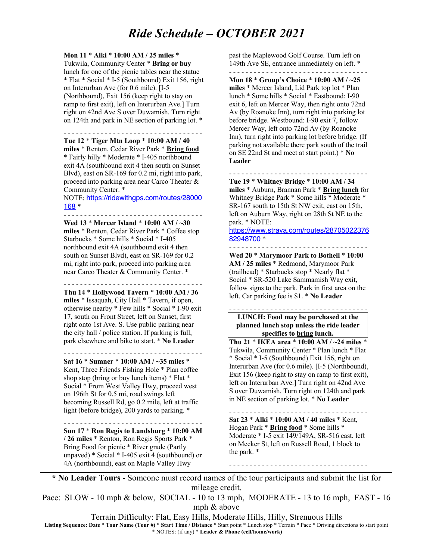## *Ride Schedule – OCTOBER 2021*

## **Mon 11** \* **Alki** \* **10:00 AM / 25 miles** \*

Tukwila, Community Center \* **Bring or buy** lunch for one of the picnic tables near the statue \* Flat \* Social \* I-5 (Southbound) Exit 156, right on Interurban Ave (for 0.6 mile). [I-5 (Northbound), Exit 156 (keep right to stay on ramp to first exit), left on Interurban Ave.] Turn right on 42nd Ave S over Duwamish. Turn right on 124th and park in NE section of parking lot. \*

### - - - - - - - - - - - - - - - - - - - - - - - - - - - - - - - - - -

**Tue 12** \* **Tiger Mtn Loop** \* **10:00 AM / 40 miles** \* Renton, Cedar River Park \* **Bring food** \* Fairly hilly \* Moderate \* I-405 northbound exit 4A (southbound exit 4 then south on Sunset Blvd), east on SR-169 for 0.2 mi, right into park, proceed into parking area near Carco Theater & Community Center. \*

#### NOTE: https://ridewithgps.com/routes/28000 168 \* - - - - - - - - - - - - - - - - - - - - - - - - - - - - - - - - - -

**Wed 13** \* **Mercer Island** \* **10:00 AM / ~30 miles** \* Renton, Cedar River Park \* Coffee stop Starbucks \* Some hills \* Social \* I-405 northbound exit 4A (southbound exit 4 then south on Sunset Blvd), east on SR-169 for 0.2 mi, right into park, proceed into parking area near Carco Theater & Community Center. \*

#### - - - - - - - - - - - - - - - - - - - - - - - - - - - - - - - - - -

**Thu 14** \* **Hollywood Tavern** \* **10:00 AM / 36 miles** \* Issaquah, City Hall \* Tavern, if open, otherwise nearby \* Few hills \* Social \* I-90 exit 17, south on Front Street, left on Sunset, first right onto 1st Ave. S. Use public parking near the city hall / police station. If parking is full, park elsewhere and bike to start. \* **No Leader**

## - - - - - - - - - - - - - - - - - - - - - - - - - - - - - - - - - -

**Sat 16** \* **Sumner** \* **10:00 AM / ~35 miles** \* Kent, Three Friends Fishing Hole \* Plan coffee shop stop (bring or buy lunch items) \* Flat \* Social \* From West Valley Hwy, proceed west on 196th St for 0.5 mi, road swings left becoming Russell Rd, go 0.2 mile, left at traffic light (before bridge), 200 yards to parking. \*

#### - - - - - - - - - - - - - - - - - - - - - - - - - - - - - - - - - - **Sun 17** \* **Ron Regis to Landsburg** \* **10:00 AM**

**/ 26 miles** \* Renton, Ron Regis Sports Park \* Bring Food for picnic \* River grade (Partly unpaved) \* Social \* I-405 exit 4 (southbound) or 4A (northbound), east on Maple Valley Hwy

past the Maplewood Golf Course. Turn left on 149th Ave SE, entrance immediately on left. \*

### - - - - - - - - - - - - - - - - - - - - - - - - - - - - - - - - - -

**Mon 18** \* **Group's Choice** \* **10:00 AM / ~25 miles** \* Mercer Island, Lid Park top lot \* Plan lunch \* Some hills \* Social \* Eastbound: I-90 exit 6, left on Mercer Way, then right onto 72nd Av (by Roanoke Inn), turn right into parking lot before bridge. Westbound: I-90 exit 7, follow Mercer Way, left onto 72nd Av (by Roanoke Inn), turn right into parking lot before bridge. (If parking not available there park south of the trail on SE 22nd St and meet at start point.) \* **No Leader**

**Tue 19** \* **Whitney Bridge** \* **10:00 AM / 34 miles** \* Auburn, Brannan Park \* **Bring lunch** for Whitney Bridge Park \* Some hills \* Moderate \* SR-167 south to 15th St NW exit, east on 15th, left on Auburn Way, right on 28th St NE to the park. \* NOTE:

- - - - - - - - - - - - - - - - - - - - - - - - - - - - - - - - - -

#### https://www.strava.com/routes/28705022376 82948700 \*

- - - - - - - - - - - - - - - - - - - - - - - - - - - - - - - - - -

**Wed 20** \* **Marymoor Park to Bothell** \* **10:00 AM / 25 miles** \* Redmond, Marymoor Park (trailhead) \* Starbucks stop \* Nearly flat \* Social \* SR-520 Lake Sammamish Way exit, follow signs to the park. Park in first area on the left. Car parking fee is \$1. \* **No Leader**

## **LUNCH: Food may be purchased at the planned lunch stop unless the ride leader specifies to bring lunch.**

- - - - - - - - - - - - - - - - - - - - - - - - - - - - - - - - - -

**Thu 21** \* **IKEA area** \* **10:00 AM / ~24 miles** \* Tukwila, Community Center \* Plan lunch \* Flat \* Social \* I-5 (Southbound) Exit 156, right on Interurban Ave (for 0.6 mile). [I-5 (Northbound), Exit 156 (keep right to stay on ramp to first exit), left on Interurban Ave.] Turn right on 42nd Ave S over Duwamish. Turn right on 124th and park in NE section of parking lot. \* **No Leader**

- - - - - - - - - - - - - - - - - - - - - - - - - - - - - - - - - - **Sat 23** \* **Alki** \* **10:00 AM / 40 miles** \* Kent, Hogan Park \* **Bring food** \* Some hills \* Moderate \* I-5 exit 149/149A, SR-516 east, left on Meeker St, left on Russell Road, 1 block to the park. \*

- - - - - - - - - - - - - - - - - - - - - - - - - - - - - - - - - -

**\* No Leader Tours** - Someone must record names of the tour participants and submit the list for mileage credit.

Pace: SLOW - 10 mph & below, SOCIAL - 10 to 13 mph, MODERATE - 13 to 16 mph, FAST - 16 mph & above

Terrain Difficulty: Flat, Easy Hills, Moderate Hills, Hilly, Strenuous Hills

**Listing Sequence: Date** \* **Tour Name (Tour #)** \* **Start Time / Distance** \* Start point \* Lunch stop \* Terrain \* Pace \* Driving directions to start point \* NOTES: (if any) \* **Leader & Phone (cell/home/work)**